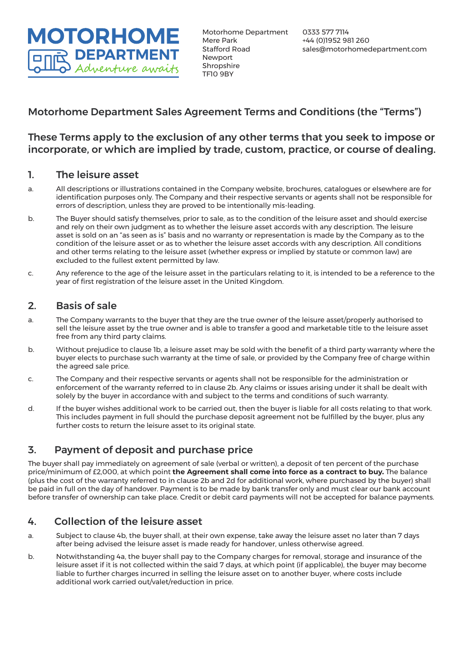**MOTORHOME DEPARTMENT** Adventure awaits

# Motorhome Department Sales Agreement Terms and Conditions (the "Terms")

### These Terms apply to the exclusion of any other terms that you seek to impose or incorporate, or which are implied by trade, custom, practice, or course of dealing.

#### 1. The leisure asset

- a. All descriptions or illustrations contained in the Company website, brochures, catalogues or elsewhere are for identification purposes only. The Company and their respective servants or agents shall not be responsible for errors of description, unless they are proved to be intentionally mis-leading.
- b. The Buyer should satisfy themselves, prior to sale, as to the condition of the leisure asset and should exercise and rely on their own judgment as to whether the leisure asset accords with any description. The leisure asset is sold on an "as seen as is" basis and no warranty or representation is made by the Company as to the condition of the leisure asset or as to whether the leisure asset accords with any description. All conditions and other terms relating to the leisure asset (whether express or implied by statute or common law) are excluded to the fullest extent permitted by law.
- c. Any reference to the age of the leisure asset in the particulars relating to it, is intended to be a reference to the year of first registration of the leisure asset in the United Kingdom.

### 2. Basis of sale

- a. The Company warrants to the buyer that they are the true owner of the leisure asset/properly authorised to sell the leisure asset by the true owner and is able to transfer a good and marketable title to the leisure asset free from any third party claims.
- b. Without prejudice to clause 1b, a leisure asset may be sold with the benefit of a third party warranty where the buyer elects to purchase such warranty at the time of sale, or provided by the Company free of charge within the agreed sale price.
- c. The Company and their respective servants or agents shall not be responsible for the administration or enforcement of the warranty referred to in clause 2b. Any claims or issues arising under it shall be dealt with solely by the buyer in accordance with and subject to the terms and conditions of such warranty.
- d. If the buyer wishes additional work to be carried out, then the buyer is liable for all costs relating to that work. This includes payment in full should the purchase deposit agreement not be fulfilled by the buyer, plus any further costs to return the leisure asset to its original state.

# 3. Payment of deposit and purchase price

The buyer shall pay immediately on agreement of sale (verbal or written), a deposit of ten percent of the purchase price/minimum of £2,000, at which point **the Agreement shall come into force as a contract to buy.** The balance (plus the cost of the warranty referred to in clause 2b and 2d for additional work, where purchased by the buyer) shall be paid in full on the day of handover. Payment is to be made by bank transfer only and must clear our bank account before transfer of ownership can take place. Credit or debit card payments will not be accepted for balance payments.

## 4. Collection of the leisure asset

- a. Subject to clause 4b, the buyer shall, at their own expense, take away the leisure asset no later than 7 days after being advised the leisure asset is made ready for handover, unless otherwise agreed.
- b. Notwithstanding 4a, the buyer shall pay to the Company charges for removal, storage and insurance of the leisure asset if it is not collected within the said 7 days, at which point (if applicable), the buyer may become liable to further charges incurred in selling the leisure asset on to another buyer, where costs include additional work carried out/valet/reduction in price.